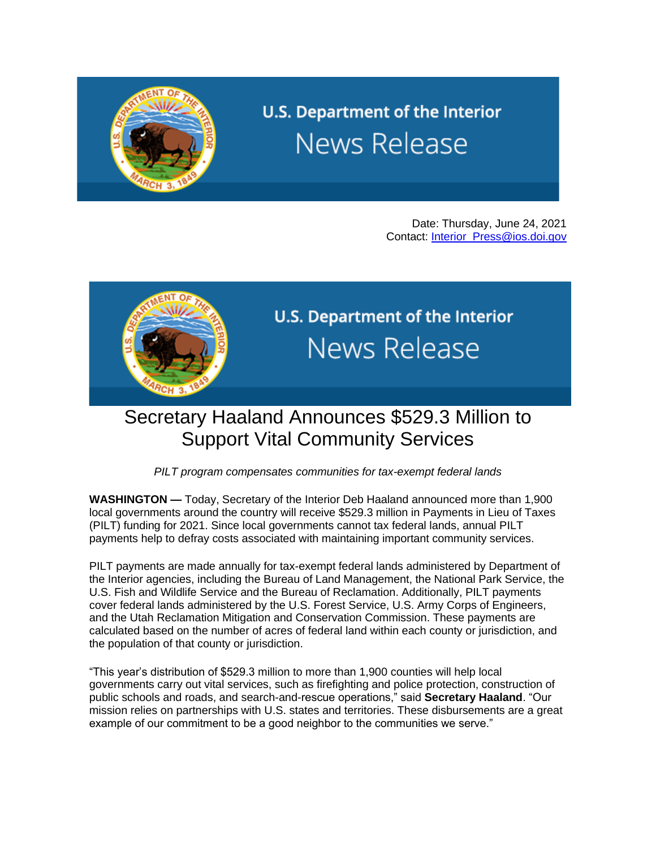

## U.S. Department of the Interior **News Release**

Date: Thursday, June 24, 2021 Contact: [Interior\\_Press@ios.doi.gov](mailto:Interior_Press@ios.doi.gov)



U.S. Department of the Interior **News Release** 

## Secretary Haaland Announces \$529.3 Million to Support Vital Community Services

*PILT program compensates communities for tax-exempt federal lands*

**WASHINGTON —** Today, Secretary of the Interior Deb Haaland announced more than 1,900 local governments around the country will receive \$529.3 million in Payments in Lieu of Taxes (PILT) funding for 2021. Since local governments cannot tax federal lands, annual PILT payments help to defray costs associated with maintaining important community services.

PILT payments are made annually for tax-exempt federal lands administered by Department of the Interior agencies, including the Bureau of Land Management, the National Park Service, the U.S. Fish and Wildlife Service and the Bureau of Reclamation. Additionally, PILT payments cover federal lands administered by the U.S. Forest Service, U.S. Army Corps of Engineers, and the Utah Reclamation Mitigation and Conservation Commission. These payments are calculated based on the number of acres of federal land within each county or jurisdiction, and the population of that county or jurisdiction.

"This year's distribution of \$529.3 million to more than 1,900 counties will help local governments carry out vital services, such as firefighting and police protection, construction of public schools and roads, and search-and-rescue operations," said **Secretary Haaland**. "Our mission relies on partnerships with U.S. states and territories. These disbursements are a great example of our commitment to be a good neighbor to the communities we serve."